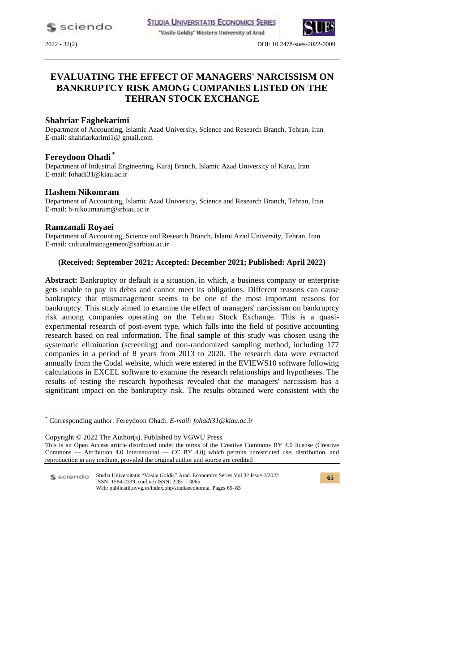"Vasile Goldiş" Western University of Arad



2022 - 32(2) DOI: 10.2478/sues-2022-0009

# **EVALUATING THE EFFECT OF MANAGERS' NARCISSISM ON BANKRUPTCY RISK AMONG COMPANIES LISTED ON THE TEHRAN STOCK EXCHANGE**

### **Shahriar Faghekarimi**

Department of Accounting, Islamic Azad University, Science and Research Branch, Tehran, Iran E-mail: shahriarkarimi1@ gmail.com

### **Fereydoon Ohadi \***

Department of Industrial Engineering, Karaj Branch, Islamic Azad University of Karaj, Iran E-mail: fohadi31@kiau.ac.ir

### **Hashem Nikomram**

Department of Accounting, Islamic Azad University, Science and Research Branch, Tehran, Iran E-mail: h-nikoumaram@srbiau.ac.ir

### **Ramzanali Royaei**

<u>.</u>

Department of Accounting, Science and Research Branch, Islami Azad University, Tehran, Iran E-mail: culturalmanagement@sarbiau.ac.ir

### **(Received: September 2021; Accepted: December 2021; Published: April 2022)**

**Abstract:** Bankruptcy or default is a situation, in which, a business company or enterprise gets unable to pay its debts and cannot meet its obligations. Different reasons can cause bankruptcy that mismanagement seems to be one of the most important reasons for bankruptcy. This study aimed to examine the effect of managers' narcissism on bankruptcy risk among companies operating on the Tehran Stock Exchange. This is a quasiexperimental research of post-event type, which falls into the field of positive accounting research based on real information. The final sample of this study was chosen using the systematic elimination (screening) and non-randomized sampling method, including 177 companies in a period of 8 years from 2013 to 2020. The research data were extracted annually from the Codal website, which were entered in the EVIEWS10 software following calculations in EXCEL software to examine the research relationships and hypotheses. The results of testing the research hypothesis revealed that the managers' narcissism has a significant impact on the bankruptcy risk. The results obtained were consistent with the

Studia Universitatis "Vasile Goldis" Arad. Economics Series Vol 32 Issue 2/2022 ISSN: 1584-2339; (online) ISSN: 2285 – 3065 Web: publicatii.uvvg.ro/index.php/studiaeconomia. Pages 65–83

<sup>\*</sup> Corresponding author: Fereydoon Ohadi. *E-mail: fohadi31@kiau.ac.ir*

Copyright © 2022 The Author(s). Published by VGWU Press This is an Open Access article distributed under the terms of the Creative Commons BY 4.0 license [\(Creative](https://creativecommons.org/licenses/by/4.0/)  Commons — [Attribution 4.0 International —](https://creativecommons.org/licenses/by/4.0/) CC BY 4.0) which permits unrestricted use, distribution, and reproduction in any medium, provided the original author and source are credited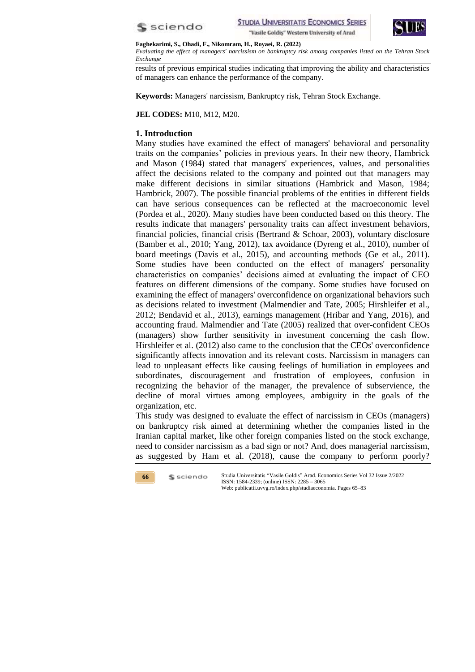



#### **Faghekarimi, S., Ohadi, F., Nikomram, H., Royaei, R. (2022)**

*Evaluating the effect of managers' narcissism on bankruptcy risk among companies listed on the Tehran Stock Exchange*

results of previous empirical studies indicating that improving the ability and characteristics of managers can enhance the performance of the company.

**Keywords:** Managers' narcissism, Bankruptcy risk, Tehran Stock Exchange.

**JEL CODES:** M10, M12, M20.

### **1. Introduction**

Many studies have examined the effect of managers' behavioral and personality traits on the companies' policies in previous years. In their new theory, Hambrick and Mason (1984) stated that managers' experiences, values, and personalities affect the decisions related to the company and pointed out that managers may make different decisions in similar situations (Hambrick and Mason, 1984; Hambrick, 2007). The possible financial problems of the entities in different fields can have serious consequences can be reflected at the macroeconomic level (Pordea et al., 2020). Many studies have been conducted based on this theory. The results indicate that managers' personality traits can affect investment behaviors, financial policies, financial crisis (Bertrand & Schoar, 2003), voluntary disclosure (Bamber et al., 2010; Yang, 2012), tax avoidance (Dyreng et al., 2010), number of board meetings (Davis et al., 2015), and accounting methods (Ge et al., 2011). Some studies have been conducted on the effect of managers' personality characteristics on companies' decisions aimed at evaluating the impact of CEO features on different dimensions of the company. Some studies have focused on examining the effect of managers' overconfidence on organizational behaviors such as decisions related to investment (Malmendier and Tate, 2005; Hirshleifer et al., 2012; Bendavid et al., 2013), earnings management (Hribar and Yang, 2016), and accounting fraud. Malmendier and Tate (2005) realized that over-confident CEOs (managers) show further sensitivity in investment concerning the cash flow. Hirshleifer et al. (2012) also came to the conclusion that the CEOs' overconfidence significantly affects innovation and its relevant costs. Narcissism in managers can lead to unpleasant effects like causing feelings of humiliation in employees and subordinates, discouragement and frustration of employees, confusion in recognizing the behavior of the manager, the prevalence of subservience, the decline of moral virtues among employees, ambiguity in the goals of the organization, etc.

This study was designed to evaluate the effect of narcissism in CEOs (managers) on bankruptcy risk aimed at determining whether the companies listed in the Iranian capital market, like other foreign companies listed on the stock exchange, need to consider narcissism as a bad sign or not? And, does managerial narcissism, as suggested by Ham et al. (2018), cause the company to perform poorly?

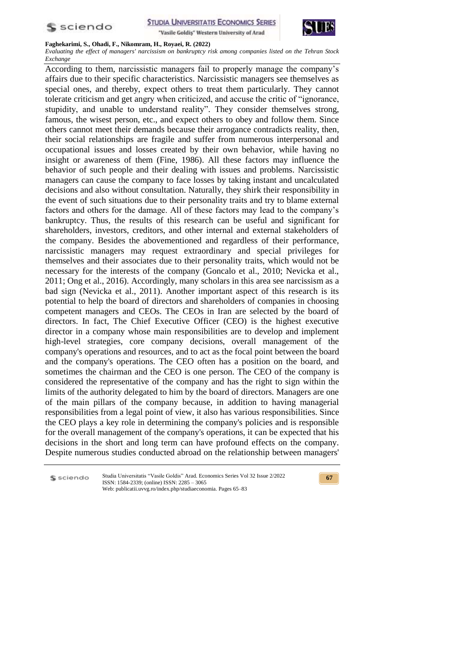



#### **Faghekarimi, S., Ohadi, F., Nikomram, H., Royaei, R. (2022)**

*Evaluating the effect of managers' narcissism on bankruptcy risk among companies listed on the Tehran Stock Exchange*

According to them, narcissistic managers fail to properly manage the company's affairs due to their specific characteristics. Narcissistic managers see themselves as special ones, and thereby, expect others to treat them particularly. They cannot tolerate criticism and get angry when criticized, and accuse the critic of "ignorance, stupidity, and unable to understand reality". They consider themselves strong, famous, the wisest person, etc., and expect others to obey and follow them. Since others cannot meet their demands because their arrogance contradicts reality, then, their social relationships are fragile and suffer from numerous interpersonal and occupational issues and losses created by their own behavior, while having no insight or awareness of them (Fine, 1986). All these factors may influence the behavior of such people and their dealing with issues and problems. Narcissistic managers can cause the company to face losses by taking instant and uncalculated decisions and also without consultation. Naturally, they shirk their responsibility in the event of such situations due to their personality traits and try to blame external factors and others for the damage. All of these factors may lead to the company's bankruptcy. Thus, the results of this research can be useful and significant for shareholders, investors, creditors, and other internal and external stakeholders of the company. Besides the abovementioned and regardless of their performance, narcissistic managers may request extraordinary and special privileges for themselves and their associates due to their personality traits, which would not be necessary for the interests of the company (Goncalo et al., 2010; Nevicka et al., 2011; Ong et al., 2016). Accordingly, many scholars in this area see narcissism as a bad sign (Nevicka et al., 2011). Another important aspect of this research is its potential to help the board of directors and shareholders of companies in choosing competent managers and CEOs. The CEOs in Iran are selected by the board of directors. In fact, The Chief Executive Officer (CEO) is the highest executive director in a company whose main responsibilities are to develop and implement high-level strategies, core company decisions, overall management of the company's operations and resources, and to act as the focal point between the board and the company's operations. The CEO often has a position on the board, and sometimes the chairman and the CEO is one person. The CEO of the company is considered the representative of the company and has the right to sign within the limits of the authority delegated to him by the board of directors. Managers are one of the main pillars of the company because, in addition to having managerial responsibilities from a legal point of view, it also has various responsibilities. Since the CEO plays a key role in determining the company's policies and is responsible for the overall management of the company's operations, it can be expected that his decisions in the short and long term can have profound effects on the company. Despite numerous studies conducted abroad on the relationship between managers'

S sciendo

Studia Universitatis "Vasile Goldis" Arad. Economics Series Vol 32 Issue 2/2022 ISSN: 1584-2339; (online) ISSN: 2285 – 3065 Web: publicatii.uvvg.ro/index.php/studiaeconomia. Pages 65–83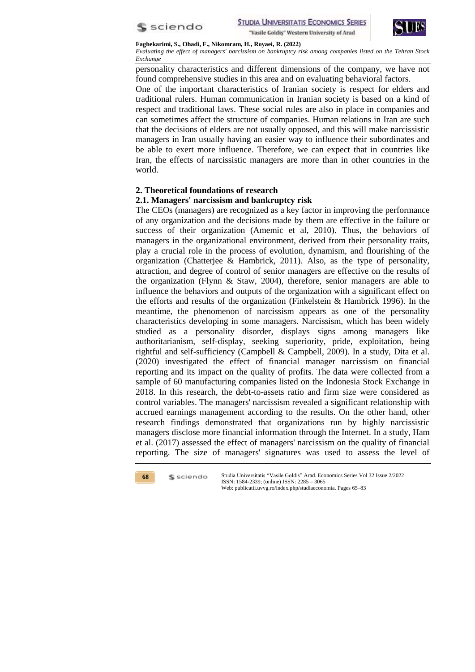



*Evaluating the effect of managers' narcissism on bankruptcy risk among companies listed on the Tehran Stock Exchange*

personality characteristics and different dimensions of the company, we have not found comprehensive studies in this area and on evaluating behavioral factors.

One of the important characteristics of Iranian society is respect for elders and traditional rulers. Human communication in Iranian society is based on a kind of respect and traditional laws. These social rules are also in place in companies and can sometimes affect the structure of companies. Human relations in Iran are such that the decisions of elders are not usually opposed, and this will make narcissistic managers in Iran usually having an easier way to influence their subordinates and be able to exert more influence. Therefore, we can expect that in countries like Iran, the effects of narcissistic managers are more than in other countries in the world.

# **2. Theoretical foundations of research**

# **2.1. Managers' narcissism and bankruptcy risk**

The CEOs (managers) are recognized as a key factor in improving the performance of any organization and the decisions made by them are effective in the failure or success of their organization (Amemic et al, 2010). Thus, the behaviors of managers in the organizational environment, derived from their personality traits, play a crucial role in the process of evolution, dynamism, and flourishing of the organization (Chatterjee & Hambrick, 2011). Also, as the type of personality, attraction, and degree of control of senior managers are effective on the results of the organization (Flynn & Staw, 2004), therefore, senior managers are able to influence the behaviors and outputs of the organization with a significant effect on the efforts and results of the organization (Finkelstein & Hambrick 1996). In the meantime, the phenomenon of narcissism appears as one of the personality characteristics developing in some managers. Narcissism, which has been widely studied as a personality disorder, displays signs among managers like authoritarianism, self-display, seeking superiority, pride, exploitation, being rightful and self-sufficiency (Campbell & Campbell, 2009). In a study, Dita et al. (2020) investigated the effect of financial manager narcissism on financial reporting and its impact on the quality of profits. The data were collected from a sample of 60 manufacturing companies listed on the Indonesia Stock Exchange in 2018. In this research, the debt-to-assets ratio and firm size were considered as control variables. The managers' narcissism revealed a significant relationship with accrued earnings management according to the results. On the other hand, other research findings demonstrated that organizations run by highly narcissistic managers disclose more financial information through the Internet. In a study, Ham et al. (2017) assessed the effect of managers' narcissism on the quality of financial reporting. The size of managers' signatures was used to assess the level of

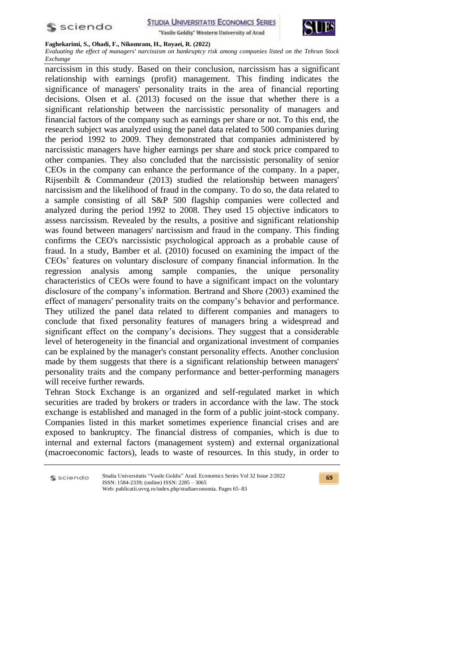



#### **Faghekarimi, S., Ohadi, F., Nikomram, H., Royaei, R. (2022)**

*Evaluating the effect of managers' narcissism on bankruptcy risk among companies listed on the Tehran Stock Exchange*

narcissism in this study. Based on their conclusion, narcissism has a significant relationship with earnings (profit) management. This finding indicates the significance of managers' personality traits in the area of financial reporting decisions. Olsen et al. (2013) focused on the issue that whether there is a significant relationship between the narcissistic personality of managers and financial factors of the company such as earnings per share or not. To this end, the research subject was analyzed using the panel data related to 500 companies during the period 1992 to 2009. They demonstrated that companies administered by narcissistic managers have higher earnings per share and stock price compared to other companies. They also concluded that the narcissistic personality of senior CEOs in the company can enhance the performance of the company. In a paper, Rijsenbilt & Commandeur (2013) studied the relationship between managers' narcissism and the likelihood of fraud in the company. To do so, the data related to a sample consisting of all S&P 500 flagship companies were collected and analyzed during the period 1992 to 2008. They used 15 objective indicators to assess narcissism. Revealed by the results, a positive and significant relationship was found between managers' narcissism and fraud in the company. This finding confirms the CEO's narcissistic psychological approach as a probable cause of fraud. In a study, Bamber et al. (2010) focused on examining the impact of the CEOs' features on voluntary disclosure of company financial information. In the regression analysis among sample companies, the unique personality characteristics of CEOs were found to have a significant impact on the voluntary disclosure of the company's information. Bertrand and Shore (2003) examined the effect of managers' personality traits on the company's behavior and performance. They utilized the panel data related to different companies and managers to conclude that fixed personality features of managers bring a widespread and significant effect on the company's decisions. They suggest that a considerable level of heterogeneity in the financial and organizational investment of companies can be explained by the manager's constant personality effects. Another conclusion made by them suggests that there is a significant relationship between managers' personality traits and the company performance and better-performing managers will receive further rewards.

Tehran Stock Exchange is an organized and self-regulated market in which securities are traded by brokers or traders in accordance with the law. The stock exchange is established and managed in the form of a public joint-stock company. Companies listed in this market sometimes experience financial crises and are exposed to bankruptcy. The financial distress of companies, which is due to internal and external factors (management system) and external organizational (macroeconomic factors), leads to waste of resources. In this study, in order to

S sciendo

Studia Universitatis "Vasile Goldis" Arad. Economics Series Vol 32 Issue 2/2022 ISSN: 1584-2339; (online) ISSN: 2285 – 3065 Web: publicatii.uvvg.ro/index.php/studiaeconomia. Pages 65–83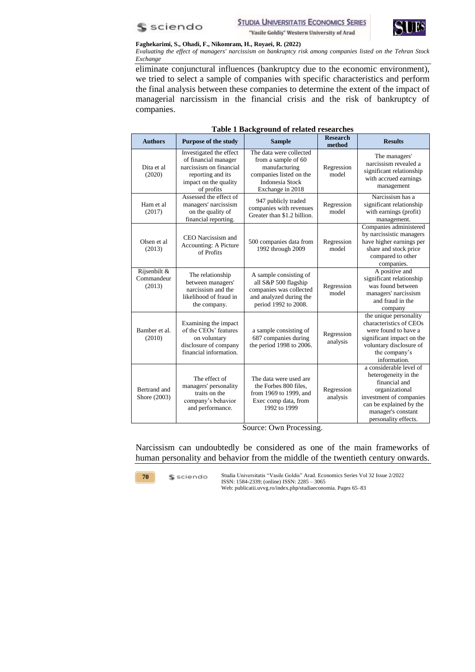



*Evaluating the effect of managers' narcissism on bankruptcy risk among companies listed on the Tehran Stock Exchange*

eliminate conjunctural influences (bankruptcy due to the economic environment), we tried to select a sample of companies with specific characteristics and perform the final analysis between these companies to determine the extent of the impact of managerial narcissism in the financial crisis and the risk of bankruptcy of companies.

| <b>Authors</b>                       | <b>Purpose of the study</b>                                                                                                            | <b>Sample</b>                                                                                                                            | <b>Research</b><br>method | <b>Results</b>                                                                                                                                                                         |
|--------------------------------------|----------------------------------------------------------------------------------------------------------------------------------------|------------------------------------------------------------------------------------------------------------------------------------------|---------------------------|----------------------------------------------------------------------------------------------------------------------------------------------------------------------------------------|
| Dita et al<br>(2020)                 | Investigated the effect<br>of financial manager<br>narcissism on financial<br>reporting and its<br>impact on the quality<br>of profits | The data were collected<br>from a sample of 60<br>manufacturing<br>companies listed on the<br><b>Indonesia Stock</b><br>Exchange in 2018 | Regression<br>model       | The managers'<br>narcissism revealed a<br>significant relationship<br>with accrued earnings<br>management                                                                              |
| Ham et al<br>(2017)                  | Assessed the effect of<br>managers' narcissism<br>on the quality of<br>financial reporting.                                            | 947 publicly traded<br>companies with revenues<br>Greater than \$1.2 billion.                                                            | Regression<br>model       | Narcissism has a<br>significant relationship<br>with earnings (profit)<br>management.                                                                                                  |
| Olsen et al.<br>(2013)               | CEO Narcissism and<br>Accounting: A Picture<br>of Profits                                                                              | 500 companies data from<br>1992 through 2009                                                                                             | Regression<br>model       | Companies administered<br>by narcissistic managers<br>have higher earnings per<br>share and stock price<br>compared to other<br>companies.                                             |
| Rijsenbilt &<br>Commandeur<br>(2013) | The relationship<br>between managers'<br>narcissism and the<br>likelihood of fraud in<br>the company.                                  | A sample consisting of<br>all S&P 500 flagship<br>companies was collected<br>and analyzed during the<br>period 1992 to 2008.             | Regression<br>model       | A positive and<br>significant relationship<br>was found between<br>managers' narcissism<br>and fraud in the<br>company                                                                 |
| Bamber et al.<br>(2010)              | Examining the impact<br>of the CEOs' features<br>on voluntary<br>disclosure of company<br>financial information.                       | a sample consisting of<br>687 companies during<br>the period 1998 to 2006.                                                               | Regression<br>analysis    | the unique personality<br>characteristics of CEOs<br>were found to have a<br>significant impact on the<br>voluntary disclosure of<br>the company's<br>information.                     |
| Bertrand and<br>Shore (2003)         | The effect of<br>managers' personality<br>traits on the<br>company's behavior<br>and performance.                                      | The data were used are<br>the Forbes 800 files,<br>from 1969 to 1999, and<br>Exec comp data, from<br>1992 to 1999                        | Regression<br>analysis    | a considerable level of<br>heterogeneity in the<br>financial and<br>organizational<br>investment of companies<br>can be explained by the<br>manager's constant<br>personality effects. |

### **Table 1 Background of related researches**

Source: Own Processing.

Narcissism can undoubtedly be considered as one of the main frameworks of human personality and behavior from the middle of the twentieth century onwards.

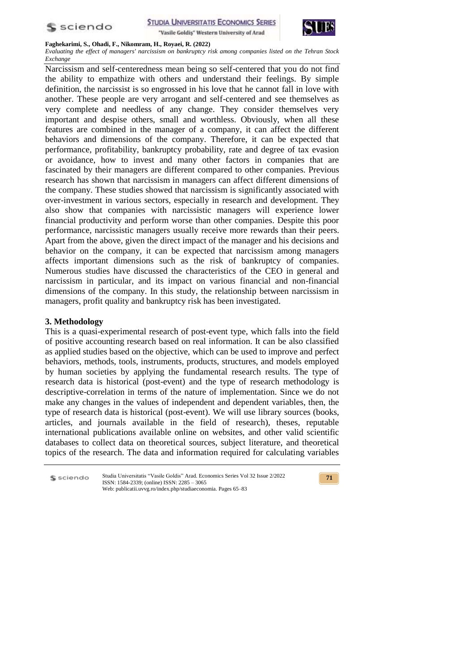



#### **Faghekarimi, S., Ohadi, F., Nikomram, H., Royaei, R. (2022)**

*Evaluating the effect of managers' narcissism on bankruptcy risk among companies listed on the Tehran Stock Exchange*

Narcissism and self-centeredness mean being so self-centered that you do not find the ability to empathize with others and understand their feelings. By simple definition, the narcissist is so engrossed in his love that he cannot fall in love with another. These people are very arrogant and self-centered and see themselves as very complete and needless of any change. They consider themselves very important and despise others, small and worthless. Obviously, when all these features are combined in the manager of a company, it can affect the different behaviors and dimensions of the company. Therefore, it can be expected that performance, profitability, bankruptcy probability, rate and degree of tax evasion or avoidance, how to invest and many other factors in companies that are fascinated by their managers are different compared to other companies. Previous research has shown that narcissism in managers can affect different dimensions of the company. These studies showed that narcissism is significantly associated with over-investment in various sectors, especially in research and development. They also show that companies with narcissistic managers will experience lower financial productivity and perform worse than other companies. Despite this poor performance, narcissistic managers usually receive more rewards than their peers. Apart from the above, given the direct impact of the manager and his decisions and behavior on the company, it can be expected that narcissism among managers affects important dimensions such as the risk of bankruptcy of companies. Numerous studies have discussed the characteristics of the CEO in general and narcissism in particular, and its impact on various financial and non-financial dimensions of the company. In this study, the relationship between narcissism in managers, profit quality and bankruptcy risk has been investigated.

### **3. Methodology**

This is a quasi-experimental research of post-event type, which falls into the field of positive accounting research based on real information. It can be also classified as applied studies based on the objective, which can be used to improve and perfect behaviors, methods, tools, instruments, products, structures, and models employed by human societies by applying the fundamental research results. The type of research data is historical (post-event) and the type of research methodology is descriptive-correlation in terms of the nature of implementation. Since we do not make any changes in the values of independent and dependent variables, then, the type of research data is historical (post-event). We will use library sources (books, articles, and journals available in the field of research), theses, reputable international publications available online on websites, and other valid scientific databases to collect data on theoretical sources, subject literature, and theoretical topics of the research. The data and information required for calculating variables

S sciendo Studia Universitatis "Vasile Goldis" Arad. Economics Series Vol 32 Issue 2/2022 ISSN: 1584-2339; (online) ISSN: 2285 – 3065 Web: publicatii.uvvg.ro/index.php/studiaeconomia. Pages 65–83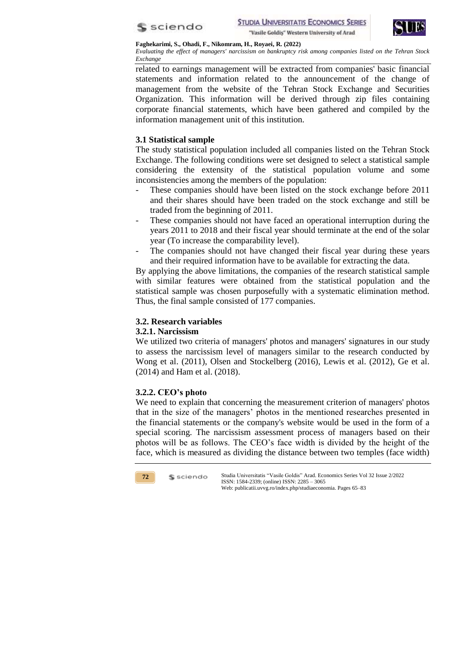



*Evaluating the effect of managers' narcissism on bankruptcy risk among companies listed on the Tehran Stock Exchange*

related to earnings management will be extracted from companies' basic financial statements and information related to the announcement of the change of management from the website of the Tehran Stock Exchange and Securities Organization. This information will be derived through zip files containing corporate financial statements, which have been gathered and compiled by the information management unit of this institution.

# **3.1 Statistical sample**

The study statistical population included all companies listed on the Tehran Stock Exchange. The following conditions were set designed to select a statistical sample considering the extensity of the statistical population volume and some inconsistencies among the members of the population:

- These companies should have been listed on the stock exchange before 2011 and their shares should have been traded on the stock exchange and still be traded from the beginning of 2011.
- These companies should not have faced an operational interruption during the years 2011 to 2018 and their fiscal year should terminate at the end of the solar year (To increase the comparability level).
- The companies should not have changed their fiscal year during these years and their required information have to be available for extracting the data.

By applying the above limitations, the companies of the research statistical sample with similar features were obtained from the statistical population and the statistical sample was chosen purposefully with a systematic elimination method. Thus, the final sample consisted of 177 companies.

# **3.2. Research variables**

## **3.2.1. Narcissism**

We utilized two criteria of managers' photos and managers' signatures in our study to assess the narcissism level of managers similar to the research conducted by Wong et al. (2011), Olsen and Stockelberg (2016), Lewis et al. (2012), Ge et al. (2014) and Ham et al. (2018).

# **3.2.2. CEO's photo**

We need to explain that concerning the measurement criterion of managers' photos that in the size of the managers' photos in the mentioned researches presented in the financial statements or the company's website would be used in the form of a special scoring. The narcissism assessment process of managers based on their photos will be as follows. The CEO's face width is divided by the height of the face, which is measured as dividing the distance between two temples (face width)

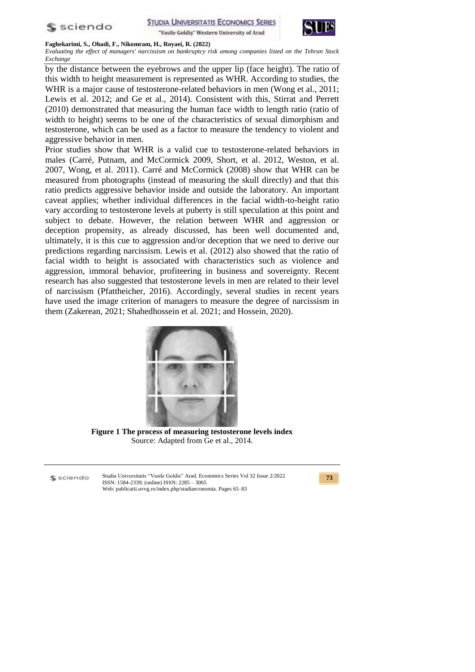



#### **Faghekarimi, S., Ohadi, F., Nikomram, H., Royaei, R. (2022)**

*Evaluating the effect of managers' narcissism on bankruptcy risk among companies listed on the Tehran Stock Exchange*

by the distance between the eyebrows and the upper lip (face height). The ratio of this width to height measurement is represented as WHR. According to studies, the WHR is a major cause of testosterone-related behaviors in men (Wong et al., 2011; Lewis et al. 2012; and Ge et al., 2014). Consistent with this, Stirrat and Perrett (2010) demonstrated that measuring the human face width to length ratio (ratio of width to height) seems to be one of the characteristics of sexual dimorphism and testosterone, which can be used as a factor to measure the tendency to violent and aggressive behavior in men.

Prior studies show that WHR is a valid cue to testosterone-related behaviors in males (Carré, Putnam, and McCormick 2009, Short, et al. 2012, Weston, et al. 2007, Wong, et al. 2011). Carré and McCormick (2008) show that WHR can be measured from photographs (instead of measuring the skull directly) and that this ratio predicts aggressive behavior inside and outside the laboratory. An important caveat applies; whether individual differences in the facial width-to-height ratio vary according to testosterone levels at puberty is still speculation at this point and subject to debate. However, the relation between WHR and aggression or deception propensity, as already discussed, has been well documented and, ultimately, it is this cue to aggression and/or deception that we need to derive our predictions regarding narcissism. Lewis et al. (2012) also showed that the ratio of facial width to height is associated with characteristics such as violence and aggression, immoral behavior, profiteering in business and sovereignty. Recent research has also suggested that testosterone levels in men are related to their level of narcissism (Pfattheicher, 2016). Accordingly, several studies in recent years have used the image criterion of managers to measure the degree of narcissism in them (Zakerean, 2021; Shahedhossein et al. 2021; and Hossein, 2020).



**Figure 1 The process of measuring testosterone levels index** Source: Adapted from Ge et al., 2014.

S sciendo

Studia Universitatis "Vasile Goldis" Arad. Economics Series Vol 32 Issue 2/2022 ISSN: 1584-2339; (online) ISSN: 2285 – 3065 Web: publicatii.uvvg.ro/index.php/studiaeconomia. Pages 65–83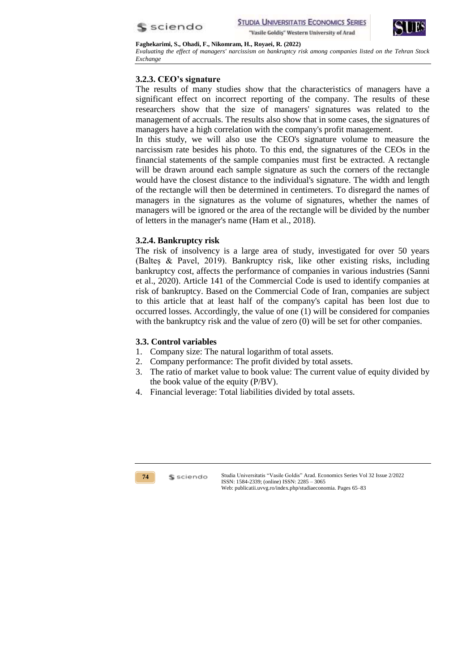



*Evaluating the effect of managers' narcissism on bankruptcy risk among companies listed on the Tehran Stock Exchange*

# **3.2.3. CEO's signature**

The results of many studies show that the characteristics of managers have a significant effect on incorrect reporting of the company. The results of these researchers show that the size of managers' signatures was related to the management of accruals. The results also show that in some cases, the signatures of managers have a high correlation with the company's profit management.

In this study, we will also use the CEO's signature volume to measure the narcissism rate besides his photo. To this end, the signatures of the CEOs in the financial statements of the sample companies must first be extracted. A rectangle will be drawn around each sample signature as such the corners of the rectangle would have the closest distance to the individual's signature. The width and length of the rectangle will then be determined in centimeters. To disregard the names of managers in the signatures as the volume of signatures, whether the names of managers will be ignored or the area of the rectangle will be divided by the number of letters in the manager's name (Ham et al., 2018).

# **3.2.4. Bankruptcy risk**

The risk of insolvency is a large area of study, investigated for over 50 years (Balteș & Pavel, 2019). Bankruptcy risk, like other existing risks, including bankruptcy cost, affects the performance of companies in various industries (Sanni et al., 2020). Article 141 of the Commercial Code is used to identify companies at risk of bankruptcy. Based on the Commercial Code of Iran, companies are subject to this article that at least half of the company's capital has been lost due to occurred losses. Accordingly, the value of one (1) will be considered for companies with the bankruptcy risk and the value of zero (0) will be set for other companies.

# **3.3. Control variables**

- 1. Company size: The natural logarithm of total assets.
- 2. Company performance: The profit divided by total assets.
- 3. The ratio of market value to book value: The current value of equity divided by the book value of the equity (P/BV).
- 4. Financial leverage: Total liabilities divided by total assets.



\$ sciendo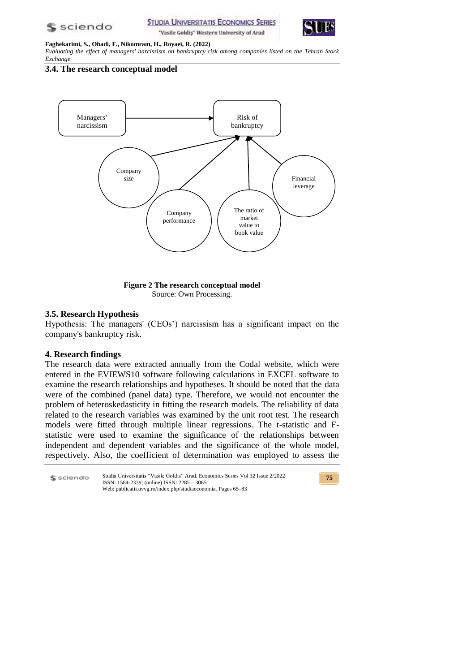



#### **Faghekarimi, S., Ohadi, F., Nikomram, H., Royaei, R. (2022)**

*Evaluating the effect of managers' narcissism on bankruptcy risk among companies listed on the Tehran Stock Exchange*

**3.4. The research conceptual model**



**Figure 2 The research conceptual model** Source: Own Processing.

## **3.5. Research Hypothesis**

Hypothesis: The managers' (CEOs') narcissism has a significant impact on the company's bankruptcy risk.

## **4. Research findings**

The research data were extracted annually from the Codal website, which were entered in the EVIEWS10 software following calculations in EXCEL software to examine the research relationships and hypotheses. It should be noted that the data were of the combined (panel data) type. Therefore, we would not encounter the problem of heteroskedasticity in fitting the research models. The reliability of data related to the research variables was examined by the unit root test. The research models were fitted through multiple linear regressions. The t-statistic and Fstatistic were used to examine the significance of the relationships between independent and dependent variables and the significance of the whole model, respectively. Also, the coefficient of determination was employed to assess the

Studia Universitatis "Vasile Goldis" Arad. Economics Series Vol 32 Issue 2/2022 \$ sciendo ISSN: 1584-2339; (online) ISSN: 2285 – 3065 Web: publicatii.uvvg.ro/index.php/studiaeconomia. Pages 65–83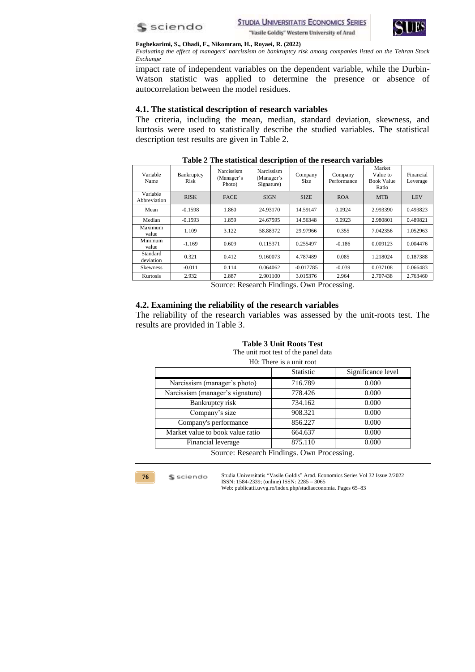



*Evaluating the effect of managers' narcissism on bankruptcy risk among companies listed on the Tehran Stock Exchange*

impact rate of independent variables on the dependent variable, while the Durbin-Watson statistic was applied to determine the presence or absence of autocorrelation between the model residues.

## **4.1. The statistical description of research variables**

The criteria, including the mean, median, standard deviation, skewness, and kurtosis were used to statistically describe the studied variables. The statistical description test results are given in Table 2.

| Variable<br>Name         | Bankruptcy<br>Risk | Narcissism<br>(Manager's<br>Photo) | Narcissism<br>(Manager's<br>Signature) | Company<br>Size | Company<br>Performance | Market<br>Value to<br><b>Book Value</b><br>Ratio | Financial<br>Leverage |
|--------------------------|--------------------|------------------------------------|----------------------------------------|-----------------|------------------------|--------------------------------------------------|-----------------------|
| Variable<br>Abbreviation | <b>RISK</b>        | <b>FACE</b>                        | <b>SIGN</b>                            | <b>SIZE</b>     | <b>ROA</b>             | <b>MTB</b>                                       | <b>LEV</b>            |
| Mean                     | $-0.1598$          | 1.860                              | 24.93170                               | 14.59147        | 0.0924                 | 2.993390                                         | 0.493823              |
| Median                   | $-0.1593$          | 1.859                              | 24.67595                               | 14.56348        | 0.0923                 | 2.980801                                         | 0.489821              |
| Maximum<br>value         | 1.109              | 3.122                              | 58.88372                               | 29.97966        | 0.355                  | 7.042356                                         | 1.052963              |
| Minimum<br>value         | $-1.169$           | 0.609                              | 0.115371                               | 0.255497        | $-0.186$               | 0.009123                                         | 0.004476              |
| Standard<br>deviation    | 0.321              | 0.412                              | 9.160073                               | 4.787489        | 0.085                  | 1.218024                                         | 0.187388              |
| <b>Skewness</b>          | $-0.011$           | 0.114                              | 0.064062                               | $-0.017785$     | $-0.039$               | 0.037108                                         | 0.066483              |
| Kurtosis                 | 2.932              | 2.887                              | 2.901100                               | 3.015376        | 2.964                  | 2.707438                                         | 2.763460              |

### **Table 2 The statistical description of the research variables**

Source: Research Findings. Own Processing.

### **4.2. Examining the reliability of the research variables**

The reliability of the research variables was assessed by the unit-roots test. The results are provided in Table 3.

The unit root test of the panel data

|                                            | H0: There is a unit root |                    |
|--------------------------------------------|--------------------------|--------------------|
|                                            | Statistic                | Significance level |
| Narcissism (manager's photo)               | 716.789                  | 0.000              |
| Narcissism (manager's signature)           | 778.426                  | 0.000              |
| Bankruptcy risk                            | 734.162                  | 0.000              |
| Company's size                             | 908.321                  | 0.000              |
| Company's performance                      | 856.227                  | 0.000              |
| Market value to book value ratio           | 664.637                  | 0.000              |
| Financial leverage                         | 875.110                  | 0.000              |
| Source: Research Findings. Own Processing. |                          |                    |

**76**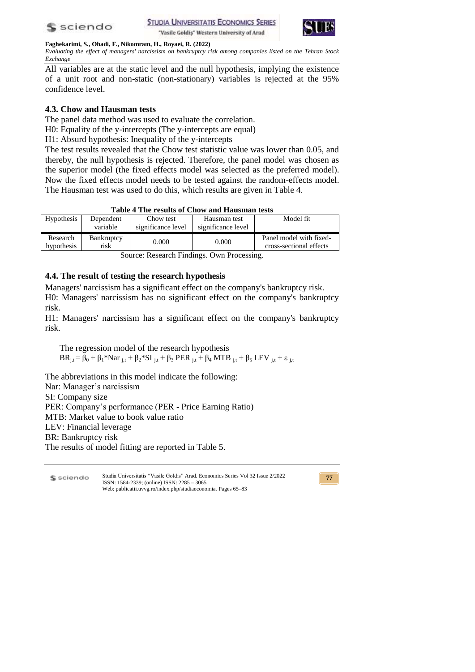



*Evaluating the effect of managers' narcissism on bankruptcy risk among companies listed on the Tehran Stock Exchange*

All variables are at the static level and the null hypothesis, implying the existence of a unit root and non-static (non-stationary) variables is rejected at the 95% confidence level.

# **4.3. Chow and Hausman tests**

The panel data method was used to evaluate the correlation.

H0: Equality of the y-intercepts (The y-intercepts are equal)

H1: Absurd hypothesis: Inequality of the y-intercepts

The test results revealed that the Chow test statistic value was lower than 0.05, and thereby, the null hypothesis is rejected. Therefore, the panel model was chosen as the superior model (the fixed effects model was selected as the preferred model). Now the fixed effects model needs to be tested against the random-effects model. The Hausman test was used to do this, which results are given in Table 4.

| Table 4 The results of Chow and Hausman tests |  |  |  |  |
|-----------------------------------------------|--|--|--|--|
|-----------------------------------------------|--|--|--|--|

| Hypothesis             | Dependent<br>variable     | Chow test<br>significance level | Hausman test<br>significance level | Model fit                                          |
|------------------------|---------------------------|---------------------------------|------------------------------------|----------------------------------------------------|
| Research<br>hypothesis | <b>Bankruptcy</b><br>risk | 0.000                           | 0.000                              | Panel model with fixed-<br>cross-sectional effects |

Source: Research Findings. Own Processing.

# **4.4. The result of testing the research hypothesis**

Managers' narcissism has a significant effect on the company's bankruptcy risk. H0: Managers' narcissism has no significant effect on the company's bankruptcy risk.

H1: Managers' narcissism has a significant effect on the company's bankruptcy risk.

The regression model of the research hypothesis  $BR_{i,t} = \beta_0 + \beta_1 * Nar_{i,t} + \beta_2 * SI_{i,t} + \beta_3 PER_{i,t} + \beta_4 MTB_{i,t} + \beta_5 LEV_{i,t} + \varepsilon_{i,t}$ 

The abbreviations in this model indicate the following:

Nar: Manager's narcissism

SI: Company size

PER: Company's performance (PER - Price Earning Ratio)

MTB: Market value to book value ratio

LEV: Financial leverage

BR: Bankruptcy risk

The results of model fitting are reported in Table 5.

Studia Universitatis "Vasile Goldis" Arad. Economics Series Vol 32 Issue 2/2022 S sciendo ISSN: 1584-2339; (online) ISSN: 2285 – 3065 Web: publicatii.uvvg.ro/index.php/studiaeconomia. Pages 65–83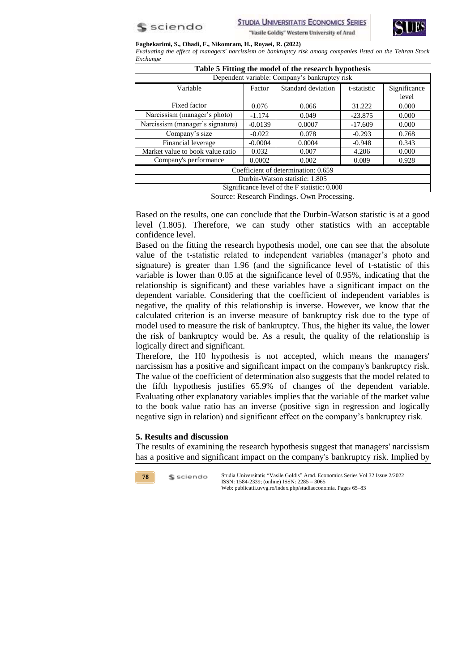



#### **Faghekarimi, S., Ohadi, F., Nikomram, H., Royaei, R. (2022)**

*Evaluating the effect of managers' narcissism on bankruptcy risk among companies listed on the Tehran Stock Exchange*

| Table 5 Fitting the model of the research hypothesis |           |                    |             |              |  |
|------------------------------------------------------|-----------|--------------------|-------------|--------------|--|
| Dependent variable: Company's bankruptcy risk        |           |                    |             |              |  |
| Variable                                             | Factor    | Standard deviation | t-statistic | Significance |  |
|                                                      |           |                    |             | level        |  |
| Fixed factor                                         | 0.076     | 0.066              | 31.222      | 0.000        |  |
| Narcissism (manager's photo)                         | $-1.174$  | 0.049              | $-23.875$   | 0.000        |  |
| Narcissism (manager's signature)                     | $-0.0139$ | 0.0007             | $-17.609$   | 0.000        |  |
| Company's size                                       | $-0.022$  | 0.078              | $-0.293$    | 0.768        |  |
| Financial leverage                                   | $-0.0004$ | 0.0004             | $-0.948$    | 0.343        |  |
| Market value to book value ratio                     | 0.032     | 0.007              | 4.206       | 0.000        |  |
| Company's performance                                | 0.0002    | 0.002              | 0.089       | 0.928        |  |
| Coefficient of determination: 0.659                  |           |                    |             |              |  |
| Durbin-Watson statistic: 1.805                       |           |                    |             |              |  |
| Significance level of the F statistic: 0.000         |           |                    |             |              |  |

Source: Research Findings. Own Processing.

Based on the results, one can conclude that the Durbin-Watson statistic is at a good level (1.805). Therefore, we can study other statistics with an acceptable confidence level.

Based on the fitting the research hypothesis model, one can see that the absolute value of the t-statistic related to independent variables (manager's photo and signature) is greater than 1.96 (and the significance level of t-statistic of this variable is lower than 0.05 at the significance level of 0.95%, indicating that the relationship is significant) and these variables have a significant impact on the dependent variable. Considering that the coefficient of independent variables is negative, the quality of this relationship is inverse. However, we know that the calculated criterion is an inverse measure of bankruptcy risk due to the type of model used to measure the risk of bankruptcy. Thus, the higher its value, the lower the risk of bankruptcy would be. As a result, the quality of the relationship is logically direct and significant.

Therefore, the H0 hypothesis is not accepted, which means the managers' narcissism has a positive and significant impact on the company's bankruptcy risk. The value of the coefficient of determination also suggests that the model related to the fifth hypothesis justifies 65.9% of changes of the dependent variable. Evaluating other explanatory variables implies that the variable of the market value to the book value ratio has an inverse (positive sign in regression and logically negative sign in relation) and significant effect on the company's bankruptcy risk.

### **5. Results and discussion**

The results of examining the research hypothesis suggest that managers' narcissism has a positive and significant impact on the company's bankruptcy risk. Implied by

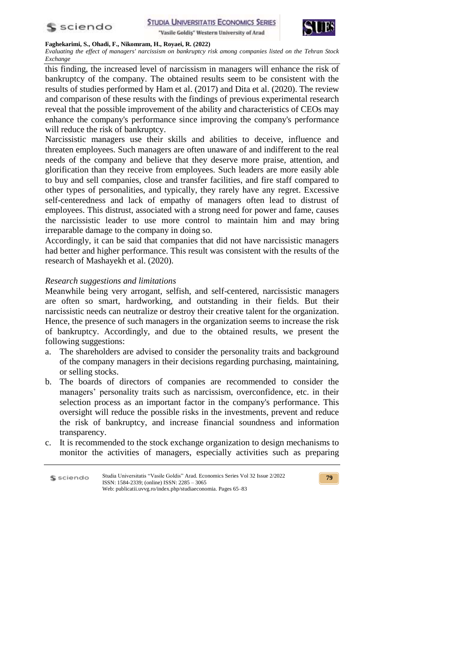



### **Faghekarimi, S., Ohadi, F., Nikomram, H., Royaei, R. (2022)**

*Evaluating the effect of managers' narcissism on bankruptcy risk among companies listed on the Tehran Stock Exchange*

this finding, the increased level of narcissism in managers will enhance the risk of bankruptcy of the company. The obtained results seem to be consistent with the results of studies performed by Ham et al. (2017) and Dita et al. (2020). The review and comparison of these results with the findings of previous experimental research reveal that the possible improvement of the ability and characteristics of CEOs may enhance the company's performance since improving the company's performance will reduce the risk of bankruptcy.

Narcissistic managers use their skills and abilities to deceive, influence and threaten employees. Such managers are often unaware of and indifferent to the real needs of the company and believe that they deserve more praise, attention, and glorification than they receive from employees. Such leaders are more easily able to buy and sell companies, close and transfer facilities, and fire staff compared to other types of personalities, and typically, they rarely have any regret. Excessive self-centeredness and lack of empathy of managers often lead to distrust of employees. This distrust, associated with a strong need for power and fame, causes the narcissistic leader to use more control to maintain him and may bring irreparable damage to the company in doing so.

Accordingly, it can be said that companies that did not have narcissistic managers had better and higher performance. This result was consistent with the results of the research of Mashayekh et al. (2020).

### *Research suggestions and limitations*

Meanwhile being very arrogant, selfish, and self-centered, narcissistic managers are often so smart, hardworking, and outstanding in their fields. But their narcissistic needs can neutralize or destroy their creative talent for the organization. Hence, the presence of such managers in the organization seems to increase the risk of bankruptcy. Accordingly, and due to the obtained results, we present the following suggestions:

- a. The shareholders are advised to consider the personality traits and background of the company managers in their decisions regarding purchasing, maintaining, or selling stocks.
- b. The boards of directors of companies are recommended to consider the managers' personality traits such as narcissism, overconfidence, etc. in their selection process as an important factor in the company's performance. This oversight will reduce the possible risks in the investments, prevent and reduce the risk of bankruptcy, and increase financial soundness and information transparency.
- c. It is recommended to the stock exchange organization to design mechanisms to monitor the activities of managers, especially activities such as preparing

| S sciendo | Studia Universitatis "Vasile Goldis" Arad. Economics Series Vol 32 Issue 2/2022<br>ISSN: $1584-2339$ ; (online) ISSN: $2285 - 3065$ |
|-----------|-------------------------------------------------------------------------------------------------------------------------------------|
|           | Web: publicatii.uvvg.ro/index.php/studiaeconomia. Pages 65–83                                                                       |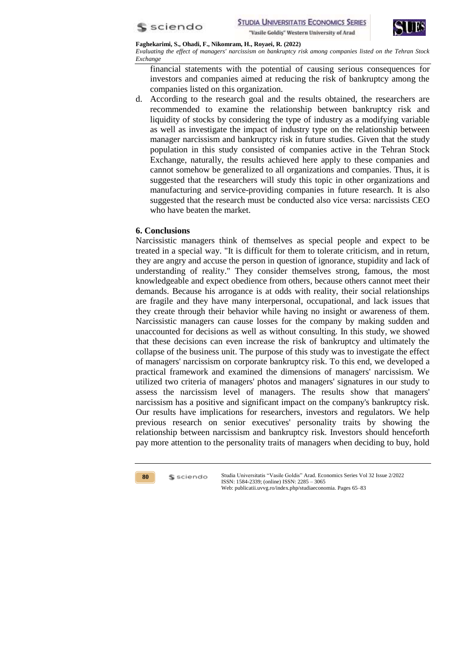



*Evaluating the effect of managers' narcissism on bankruptcy risk among companies listed on the Tehran Stock Exchange*

financial statements with the potential of causing serious consequences for investors and companies aimed at reducing the risk of bankruptcy among the companies listed on this organization.

d. According to the research goal and the results obtained, the researchers are recommended to examine the relationship between bankruptcy risk and liquidity of stocks by considering the type of industry as a modifying variable as well as investigate the impact of industry type on the relationship between manager narcissism and bankruptcy risk in future studies. Given that the study population in this study consisted of companies active in the Tehran Stock Exchange, naturally, the results achieved here apply to these companies and cannot somehow be generalized to all organizations and companies. Thus, it is suggested that the researchers will study this topic in other organizations and manufacturing and service-providing companies in future research. It is also suggested that the research must be conducted also vice versa: narcissists CEO who have beaten the market.

## **6. Conclusions**

Narcissistic managers think of themselves as special people and expect to be treated in a special way. "It is difficult for them to tolerate criticism, and in return, they are angry and accuse the person in question of ignorance, stupidity and lack of understanding of reality." They consider themselves strong, famous, the most knowledgeable and expect obedience from others, because others cannot meet their demands. Because his arrogance is at odds with reality, their social relationships are fragile and they have many interpersonal, occupational, and lack issues that they create through their behavior while having no insight or awareness of them. Narcissistic managers can cause losses for the company by making sudden and unaccounted for decisions as well as without consulting. In this study, we showed that these decisions can even increase the risk of bankruptcy and ultimately the collapse of the business unit. The purpose of this study was to investigate the effect of managers' narcissism on corporate bankruptcy risk. To this end, we developed a practical framework and examined the dimensions of managers' narcissism. We utilized two criteria of managers' photos and managers' signatures in our study to assess the narcissism level of managers. The results show that managers' narcissism has a positive and significant impact on the company's bankruptcy risk. Our results have implications for researchers, investors and regulators. We help previous research on senior executives' personality traits by showing the relationship between narcissism and bankruptcy risk. Investors should henceforth pay more attention to the personality traits of managers when deciding to buy, hold

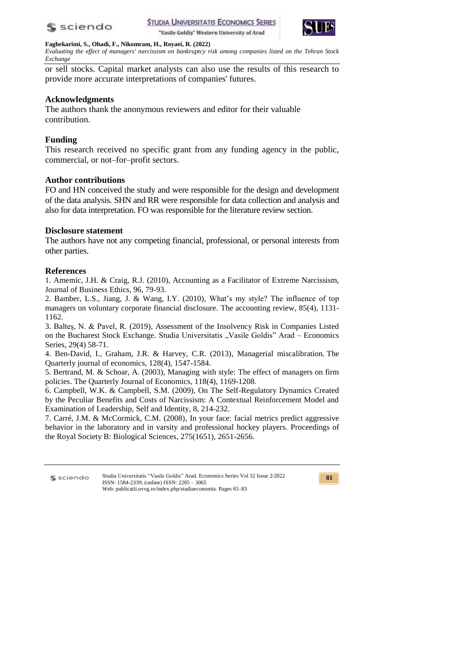



#### **Faghekarimi, S., Ohadi, F., Nikomram, H., Royaei, R. (2022)**

*Evaluating the effect of managers' narcissism on bankruptcy risk among companies listed on the Tehran Stock Exchange*

or sell stocks. Capital market analysts can also use the results of this research to provide more accurate interpretations of companies' futures.

## **Acknowledgments**

The authors thank the anonymous reviewers and editor for their valuable contribution.

## **Funding**

This research received no specific grant from any funding agency in the public, commercial, or not–for–profit sectors.

## **Author contributions**

FO and HN conceived the study and were responsible for the design and development of the data analysis. SHN and RR were responsible for data collection and analysis and also for data interpretation. FO was responsible for the literature review section.

## **Disclosure statement**

The authors have not any competing financial, professional, or personal interests from other parties.

## **References**

1. Amemic, J.H. & Craig, R.J. (2010), Accounting as a Facilitator of Extreme Narcissism, Journal of Business Ethics, 96, 79-93.

2. Bamber, L.S., Jiang, J. & Wang, I.Y. (2010), What's my style? The influence of top managers on voluntary corporate financial disclosure. The accounting review, 85(4), 1131- 1162.

3. Balteș, N. & Pavel, R. (2019), Assessment of the Insolvency Risk in Companies Listed on the Bucharest Stock Exchange. Studia Universitatis "Vasile Goldis" Arad – Economics Series, 29(4) 58-71.

4. Ben-David, I., Graham, J.R. & Harvey, C.R. (2013), Managerial miscalibration. The Quarterly journal of economics, 128(4), 1547-1584.

5. Bertrand, M. & Schoar, A. (2003), Managing with style: The effect of managers on firm policies. The Quarterly Journal of Economics, 118(4), 1169-1208.

6. Campbell, W.K. & Campbell, S.M. (2009), On The Self-Regulatory Dynamics Created by the Peculiar Benefits and Costs of Narcissism: A Contextual Reinforcement Model and Examination of Leadership, Self and Identity, 8, 214-232.

7. Carré, J.M. & McCormick, C.M. (2008), In your face: facial metrics predict aggressive behavior in the laboratory and in varsity and professional hockey players. Proceedings of the Royal Society B: Biological Sciences, 275(1651), 2651-2656.

Studia Universitatis "Vasile Goldis" Arad. Economics Series Vol 32 Issue 2/2022 S sciendo ISSN: 1584-2339; (online) ISSN: 2285 – 3065 Web: publicatii.uvvg.ro/index.php/studiaeconomia. Pages 65–83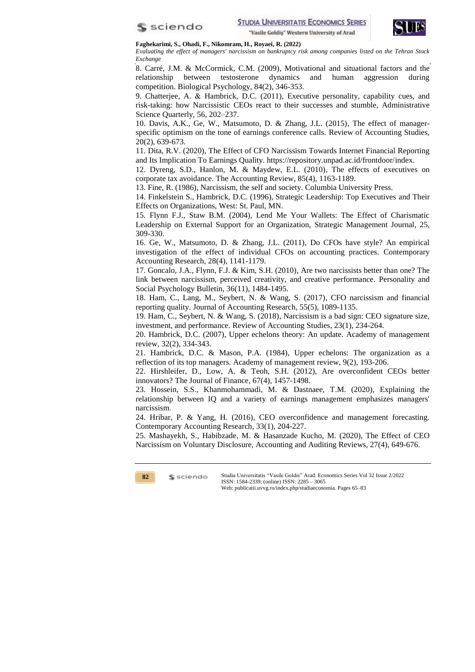



*Evaluating the effect of managers' narcissism on bankruptcy risk among companies listed on the Tehran Stock Exchange*

8. Carré, J.M. & McCormick, C.M. (2009), Motivational and situational factors and the relationship between testosterone dynamics and human aggression during competition. Biological Psychology, 84(2), 346-353.

9. Chatterjee, A. & Hambrick, D.C. (2011), Executive personality, capability cues, and risk-taking: how Narcissistic CEOs react to their successes and stumble, Administrative Science Quarterly, 56, 202–237.

10. Davis, A.K., Ge, W., Matsumoto, D. & Zhang, J.L. (2015), The effect of managerspecific optimism on the tone of earnings conference calls. Review of Accounting Studies, 20(2), 639-673.

11. Dita, R.V. (2020), The Effect of CFO Narcissism Towards Internet Financial Reporting and Its Implication To Earnings Quality. https://repository.unpad.ac.id/frontdoor/index.

12. Dyreng, S.D., Hanlon, M. & Maydew, E.L. (2010), The effects of executives on corporate tax avoidance. The Accounting Review, 85(4), 1163-1189.

13. Fine, R. (1986), Narcissism, the self and society. Columbia University Press.

14. Finkelstein S., Hambrick, D.C. (1996), Strategic Leadership: Top Executives and Their Effects on Organizations, West: St. Paul, MN.

15. Flynn F.J., Staw B.M. (2004), Lend Me Your Wallets: The Effect of Charismatic Leadership on External Support for an Organization, Strategic Management Journal, 25, 309-330.

16. Ge, W., Matsumoto, D. & Zhang, J.L. (2011), Do CFOs have style? An empirical investigation of the effect of individual CFOs on accounting practices. Contemporary Accounting Research, 28(4), 1141-1179.

17. Goncalo, J.A., Flynn, F.J. & Kim, S.H. (2010), Are two narcissists better than one? The link between narcissism, perceived creativity, and creative performance. Personality and Social Psychology Bulletin, 36(11), 1484-1495.

18. Ham, C., Lang, M., Seybert, N. & Wang, S. (2017), CFO narcissism and financial reporting quality. Journal of Accounting Research, 55(5), 1089-1135.

19. Ham, C., Seybert, N. & Wang, S. (2018), Narcissism is a bad sign: CEO signature size, investment, and performance. Review of Accounting Studies, 23(1), 234-264.

20. Hambrick, D.C. (2007), Upper echelons theory: An update. Academy of management review, 32(2), 334-343.

21. Hambrick, D.C. & Mason, P.A. (1984), Upper echelons: The organization as a reflection of its top managers. Academy of management review, 9(2), 193-206.

22. Hirshleifer, D., Low, A. & Teoh, S.H. (2012), Are overconfident CEOs better innovators? The Journal of Finance, 67(4), 1457-1498.

23. Hossein, S.S., Khanmohammadi, M. & Dastnaee, T.M. (2020), Explaining the relationship between IQ and a variety of earnings management emphasizes managers' narcissism.

24. Hribar, P. & Yang, H. (2016), CEO overconfidence and management forecasting. Contemporary Accounting Research, 33(1), 204-227.

25. Mashayekh, S., Habibzade, M. & Hasanzade Kucho, M. (2020), The Effect of CEO Narcissism on Voluntary Disclosure, Accounting and Auditing Reviews, 27(4), 649-676.